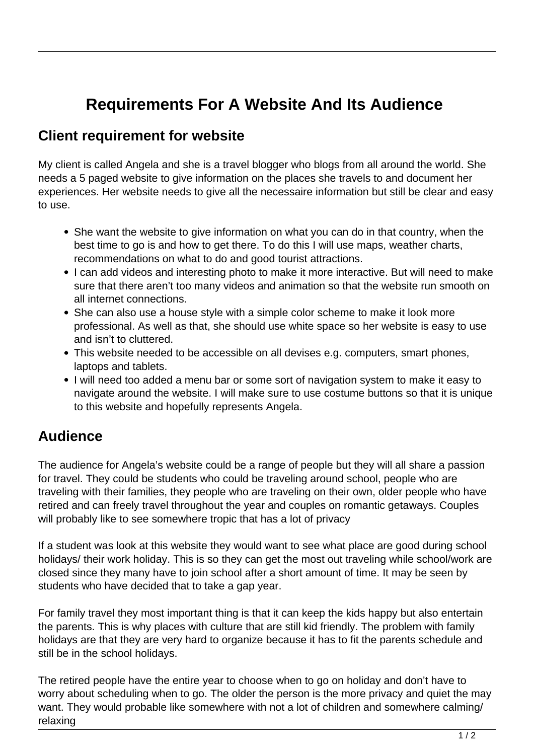## **Requirements For A Website And Its Audience**

## **Client requirement for website**

My client is called Angela and she is a travel blogger who blogs from all around the world. She needs a 5 paged website to give information on the places she travels to and document her experiences. Her website needs to give all the necessaire information but still be clear and easy to use.

- She want the website to give information on what you can do in that country, when the best time to go is and how to get there. To do this I will use maps, weather charts, recommendations on what to do and good tourist attractions.
- I can add videos and interesting photo to make it more interactive. But will need to make sure that there aren't too many videos and animation so that the website run smooth on all internet connections.
- She can also use a house style with a simple color scheme to make it look more professional. As well as that, she should use white space so her website is easy to use and isn't to cluttered.
- This website needed to be accessible on all devises e.g. computers, smart phones, laptops and tablets.
- I will need too added a menu bar or some sort of navigation system to make it easy to navigate around the website. I will make sure to use costume buttons so that it is unique to this website and hopefully represents Angela.

## **Audience**

The audience for Angela's website could be a range of people but they will all share a passion for travel. They could be students who could be traveling around school, people who are traveling with their families, they people who are traveling on their own, older people who have retired and can freely travel throughout the year and couples on romantic getaways. Couples will probably like to see somewhere tropic that has a lot of privacy

If a student was look at this website they would want to see what place are good during school holidays/ their work holiday. This is so they can get the most out traveling while school/work are closed since they many have to join school after a short amount of time. It may be seen by students who have decided that to take a gap year.

For family travel they most important thing is that it can keep the kids happy but also entertain the parents. This is why places with culture that are still kid friendly. The problem with family holidays are that they are very hard to organize because it has to fit the parents schedule and still be in the school holidays.

The retired people have the entire year to choose when to go on holiday and don't have to worry about scheduling when to go. The older the person is the more privacy and quiet the may want. They would probable like somewhere with not a lot of children and somewhere calming/ relaxing